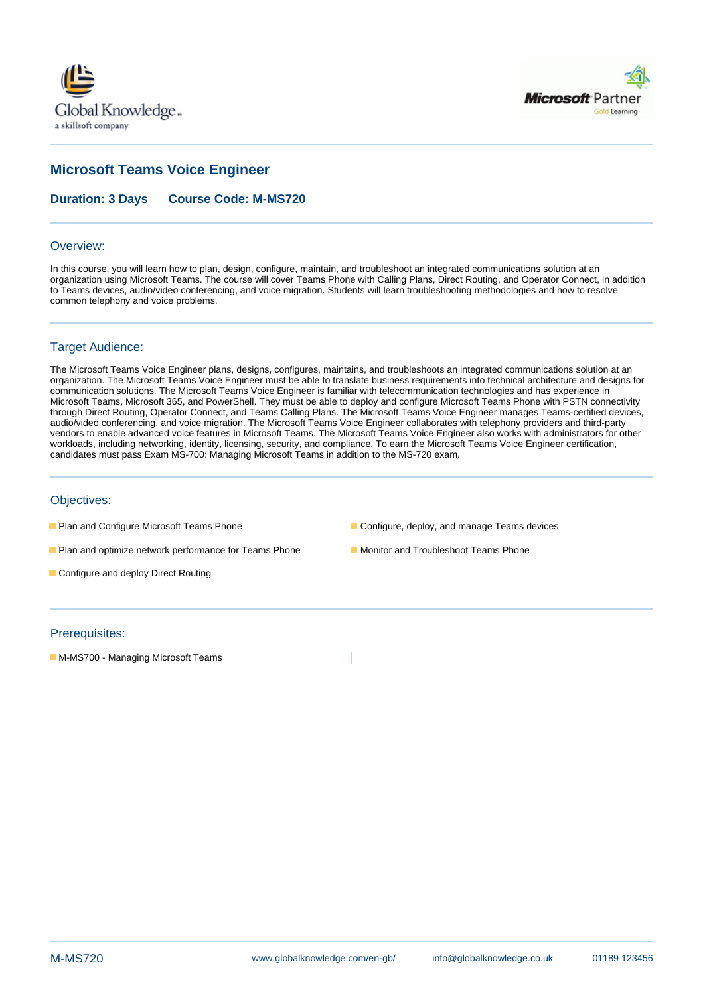



# **Microsoft Teams Voice Engineer**

**Duration: 3 Days Course Code: M-MS720**

#### Overview:

In this course, you will learn how to plan, design, configure, maintain, and troubleshoot an integrated communications solution at an organization using Microsoft Teams. The course will cover Teams Phone with Calling Plans, Direct Routing, and Operator Connect, in addition to Teams devices, audio/video conferencing, and voice migration. Students will learn troubleshooting methodologies and how to resolve common telephony and voice problems.

### Target Audience:

The Microsoft Teams Voice Engineer plans, designs, configures, maintains, and troubleshoots an integrated communications solution at an organization. The Microsoft Teams Voice Engineer must be able to translate business requirements into technical architecture and designs for communication solutions. The Microsoft Teams Voice Engineer is familiar with telecommunication technologies and has experience in Microsoft Teams, Microsoft 365, and PowerShell. They must be able to deploy and configure Microsoft Teams Phone with PSTN connectivity through Direct Routing, Operator Connect, and Teams Calling Plans. The Microsoft Teams Voice Engineer manages Teams-certified devices, audio/video conferencing, and voice migration. The Microsoft Teams Voice Engineer collaborates with telephony providers and third-party vendors to enable advanced voice features in Microsoft Teams. The Microsoft Teams Voice Engineer also works with administrators for other workloads, including networking, identity, licensing, security, and compliance. To earn the Microsoft Teams Voice Engineer certification, candidates must pass Exam MS-700: Managing Microsoft Teams in addition to the MS-720 exam.

#### Objectives:

- 
- **Plan and Configure Microsoft Teams Phone** Configure, deploy, and manage Teams devices
- **Plan and optimize network performance for Teams Phone Monitor and Troubleshoot Teams Phone**
- **Configure and deploy Direct Routing**

### Prerequisites:

**M-MS700 - Managing Microsoft Teams**